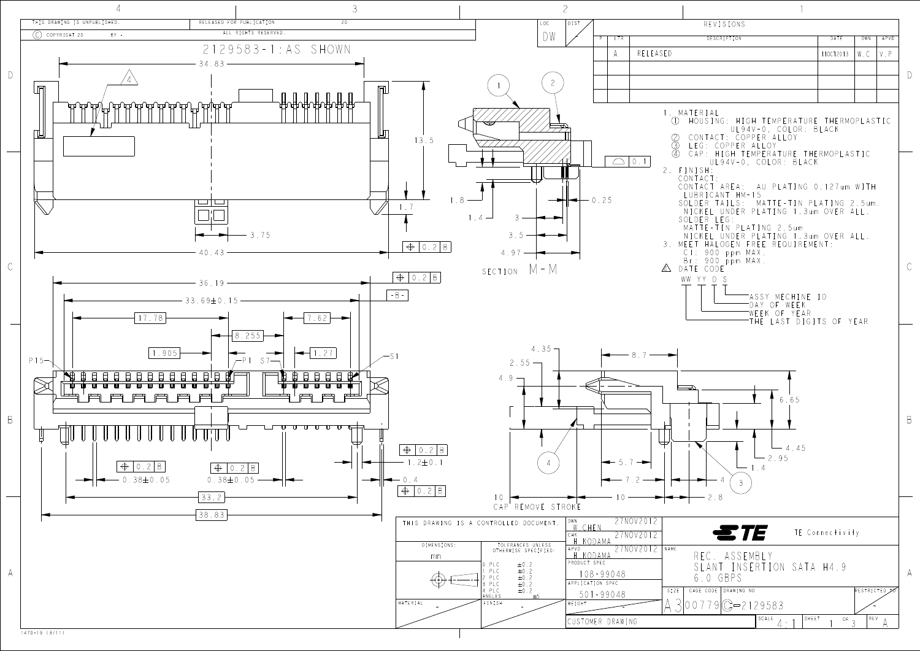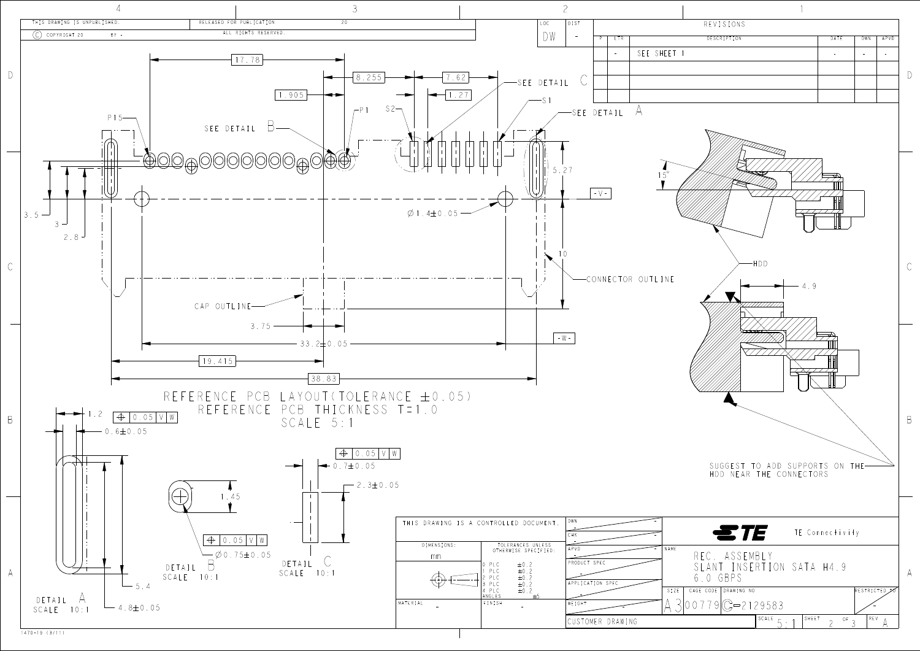

| REVISIONS<br>DESCRIPTION<br>P<br><b>LTR</b><br>DATE<br>DWN<br>APVD<br>SEE SHEET 1<br>$\mathbb{Z}^2$<br>$\overline{\phantom{a}}$<br>$\overline{a}$<br>A<br>ETAIL<br>$1\overline{5}^{\circ}$<br>$\sqrt{-}$<br>-HDD<br><b>INECTOR OUTLINE</b><br>$-4.9$<br>SUGGEST TO ADD SUPPORTS ON THE-<br>HDD NEAR THE CONNECTORS<br><b>STE</b> TE Connectivity |  |                                 |
|--------------------------------------------------------------------------------------------------------------------------------------------------------------------------------------------------------------------------------------------------------------------------------------------------------------------------------------------------|--|---------------------------------|
|                                                                                                                                                                                                                                                                                                                                                  |  |                                 |
|                                                                                                                                                                                                                                                                                                                                                  |  |                                 |
|                                                                                                                                                                                                                                                                                                                                                  |  |                                 |
|                                                                                                                                                                                                                                                                                                                                                  |  |                                 |
|                                                                                                                                                                                                                                                                                                                                                  |  | $\begin{array}{c}\n\end{array}$ |
|                                                                                                                                                                                                                                                                                                                                                  |  |                                 |
|                                                                                                                                                                                                                                                                                                                                                  |  |                                 |
|                                                                                                                                                                                                                                                                                                                                                  |  |                                 |
|                                                                                                                                                                                                                                                                                                                                                  |  |                                 |
|                                                                                                                                                                                                                                                                                                                                                  |  |                                 |
|                                                                                                                                                                                                                                                                                                                                                  |  |                                 |
|                                                                                                                                                                                                                                                                                                                                                  |  |                                 |
|                                                                                                                                                                                                                                                                                                                                                  |  |                                 |
|                                                                                                                                                                                                                                                                                                                                                  |  |                                 |
|                                                                                                                                                                                                                                                                                                                                                  |  |                                 |
|                                                                                                                                                                                                                                                                                                                                                  |  |                                 |
|                                                                                                                                                                                                                                                                                                                                                  |  |                                 |
|                                                                                                                                                                                                                                                                                                                                                  |  |                                 |
|                                                                                                                                                                                                                                                                                                                                                  |  |                                 |
|                                                                                                                                                                                                                                                                                                                                                  |  |                                 |
|                                                                                                                                                                                                                                                                                                                                                  |  | $\mathsf C$                     |
|                                                                                                                                                                                                                                                                                                                                                  |  |                                 |
|                                                                                                                                                                                                                                                                                                                                                  |  |                                 |
|                                                                                                                                                                                                                                                                                                                                                  |  |                                 |
|                                                                                                                                                                                                                                                                                                                                                  |  |                                 |
|                                                                                                                                                                                                                                                                                                                                                  |  |                                 |
|                                                                                                                                                                                                                                                                                                                                                  |  |                                 |
|                                                                                                                                                                                                                                                                                                                                                  |  |                                 |
|                                                                                                                                                                                                                                                                                                                                                  |  |                                 |
|                                                                                                                                                                                                                                                                                                                                                  |  |                                 |
|                                                                                                                                                                                                                                                                                                                                                  |  |                                 |
|                                                                                                                                                                                                                                                                                                                                                  |  |                                 |
|                                                                                                                                                                                                                                                                                                                                                  |  |                                 |
|                                                                                                                                                                                                                                                                                                                                                  |  | $\overline{B}$                  |
|                                                                                                                                                                                                                                                                                                                                                  |  |                                 |
|                                                                                                                                                                                                                                                                                                                                                  |  |                                 |
|                                                                                                                                                                                                                                                                                                                                                  |  |                                 |
|                                                                                                                                                                                                                                                                                                                                                  |  |                                 |
|                                                                                                                                                                                                                                                                                                                                                  |  |                                 |
|                                                                                                                                                                                                                                                                                                                                                  |  |                                 |
|                                                                                                                                                                                                                                                                                                                                                  |  |                                 |
|                                                                                                                                                                                                                                                                                                                                                  |  |                                 |
|                                                                                                                                                                                                                                                                                                                                                  |  |                                 |
|                                                                                                                                                                                                                                                                                                                                                  |  |                                 |
| NAME<br>REC. ASSEMBLY                                                                                                                                                                                                                                                                                                                            |  |                                 |
| E C<br>SLANT INSERTION SATA H4.9                                                                                                                                                                                                                                                                                                                 |  |                                 |
| 6.0 GBPS                                                                                                                                                                                                                                                                                                                                         |  | A                               |
| N SPEC<br>CAGE CODE DRAWING NO<br>SIZE<br>RESTRICTED JO                                                                                                                                                                                                                                                                                          |  |                                 |
|                                                                                                                                                                                                                                                                                                                                                  |  |                                 |
| $00779$ G-2129583                                                                                                                                                                                                                                                                                                                                |  |                                 |
| SCALE<br>SHEET<br>$\mathsf{RE}\,\mathsf{V}$<br>$\overline{OF}$ 3<br>R DRAWING<br>$\overline{\mathcal{C}}$                                                                                                                                                                                                                                        |  |                                 |
|                                                                                                                                                                                                                                                                                                                                                  |  |                                 |